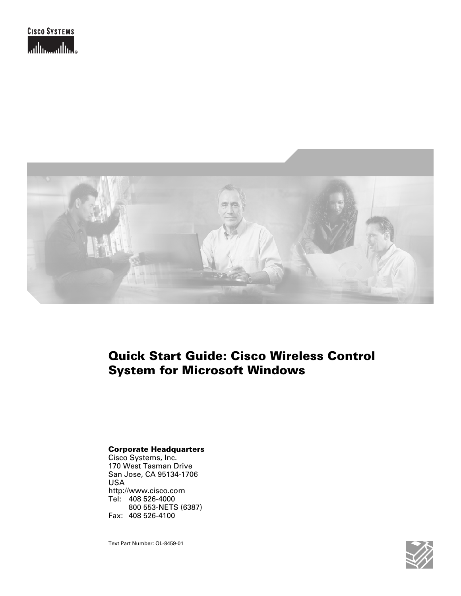



## **Quick Start Guide: Cisco Wireless Control System for Microsoft Windows**

#### **Corporate Headquarters**

Cisco Systems, Inc. 170 West Tasman Drive San Jose, CA 95134-1706 USA <http://www.cisco.com> Tel: 408 526-4000 800 553-NETS (6387) Fax: 408 526-4100

Text Part Number: OL-8459-01

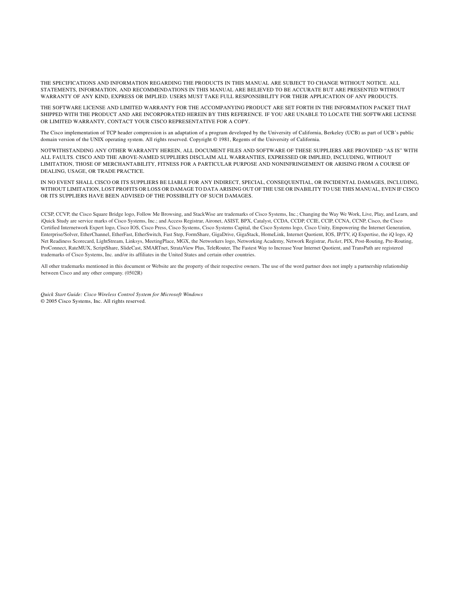THE SPECIFICATIONS AND INFORMATION REGARDING THE PRODUCTS IN THIS MANUAL ARE SUBJECT TO CHANGE WITHOUT NOTICE. ALL STATEMENTS, INFORMATION, AND RECOMMENDATIONS IN THIS MANUAL ARE BELIEVED TO BE ACCURATE BUT ARE PRESENTED WITHOUT WARRANTY OF ANY KIND, EXPRESS OR IMPLIED. USERS MUST TAKE FULL RESPONSIBILITY FOR THEIR APPLICATION OF ANY PRODUCTS.

THE SOFTWARE LICENSE AND LIMITED WARRANTY FOR THE ACCOMPANYING PRODUCT ARE SET FORTH IN THE INFORMATION PACKET THAT SHIPPED WITH THE PRODUCT AND ARE INCORPORATED HEREIN BY THIS REFERENCE. IF YOU ARE UNABLE TO LOCATE THE SOFTWARE LICENSE OR LIMITED WARRANTY, CONTACT YOUR CISCO REPRESENTATIVE FOR A COPY.

The Cisco implementation of TCP header compression is an adaptation of a program developed by the University of California, Berkeley (UCB) as part of UCB's public domain version of the UNIX operating system. All rights reserved. Copyright © 1981, Regents of the University of California.

NOTWITHSTANDING ANY OTHER WARRANTY HEREIN, ALL DOCUMENT FILES AND SOFTWARE OF THESE SUPPLIERS ARE PROVIDED "AS IS" WITH ALL FAULTS. CISCO AND THE ABOVE-NAMED SUPPLIERS DISCLAIM ALL WARRANTIES, EXPRESSED OR IMPLIED, INCLUDING, WITHOUT LIMITATION, THOSE OF MERCHANTABILITY, FITNESS FOR A PARTICULAR PURPOSE AND NONINFRINGEMENT OR ARISING FROM A COURSE OF DEALING, USAGE, OR TRADE PRACTICE.

IN NO EVENT SHALL CISCO OR ITS SUPPLIERS BE LIABLE FOR ANY INDIRECT, SPECIAL, CONSEQUENTIAL, OR INCIDENTAL DAMAGES, INCLUDING, WITHOUT LIMITATION, LOST PROFITS OR LOSS OR DAMAGE TO DATA ARISING OUT OF THE USE OR INABILITY TO USE THIS MANUAL, EVEN IF CISCO OR ITS SUPPLIERS HAVE BEEN ADVISED OF THE POSSIBILITY OF SUCH DAMAGES.

CCSP, CCVP, the Cisco Square Bridge logo, Follow Me Browsing, and StackWise are trademarks of Cisco Systems, Inc.; Changing the Way We Work, Live, Play, and Learn, and iQuick Study are service marks of Cisco Systems, Inc.; and Access Registrar, Aironet, ASIST, BPX, Catalyst, CCDA, CCDP, CCIE, CCIP, CCNA, CCNP, Cisco, the Cisco Certified Internetwork Expert logo, Cisco IOS, Cisco Press, Cisco Systems, Cisco Systems Capital, the Cisco Systems logo, Cisco Unity, Empowering the Internet Generation, Enterprise/Solver, EtherChannel, EtherFast, EtherSwitch, Fast Step, FormShare, GigaDrive, GigaStack, HomeLink, Internet Quotient, IOS, IP/TV, iQ Expertise, the iQ logo, iQ Net Readiness Scorecard, LightStream, Linksys, MeetingPlace, MGX, the Networkers logo, Networking Academy, Network Registrar, *Packet*, PIX, Post-Routing, Pre-Routing, ProConnect, RateMUX, ScriptShare, SlideCast, SMARTnet, StrataView Plus, TeleRouter, The Fastest Way to Increase Your Internet Quotient, and TransPath are registered trademarks of Cisco Systems, Inc. and/or its affiliates in the United States and certain other countries.

All other trademarks mentioned in this document or Website are the property of their respective owners. The use of the word partner does not imply a partnership relationship between Cisco and any other company. (0502R)

*Quick Start Guide: Cisco Wireless Control System for Microsoft Windows* © 2005 Cisco Systems, Inc. All rights reserved.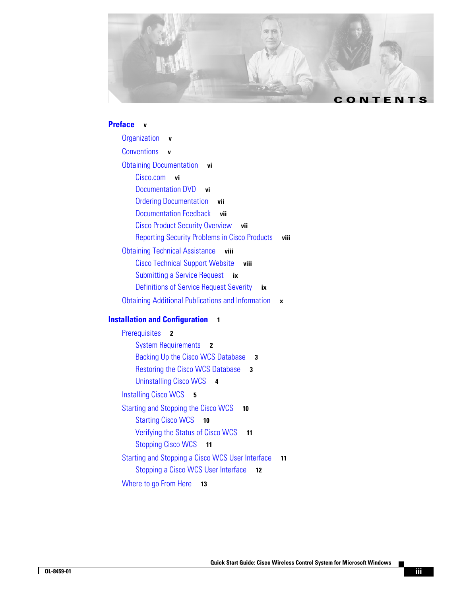

### **[Preface](#page-4-0) v**

| Organization<br>$\mathbf{v}$                                  |
|---------------------------------------------------------------|
| <b>Conventions</b><br>$\mathbf{v}$                            |
| <b>Obtaining Documentation</b><br>vi                          |
| Cisco.com<br>vi vi                                            |
| <b>Documentation DVD</b><br>vi                                |
| <b>Ordering Documentation</b><br>vii                          |
| Documentation Feedback<br>vii                                 |
| <b>Cisco Product Security Overview</b><br>vii                 |
| <b>Reporting Security Problems in Cisco Products</b><br>viii  |
| <b>Obtaining Technical Assistance</b><br>viii                 |
| <b>Cisco Technical Support Website</b><br>viii                |
| Submitting a Service Request ix                               |
| Definitions of Service Request Severity<br>iх                 |
| <b>Obtaining Additional Publications and Information</b><br>x |

### **[Installation and Configuration](#page-10-0) 1**

| Prerequisites 2                                        |
|--------------------------------------------------------|
| <b>System Requirements 2</b>                           |
| Backing Up the Cisco WCS Database<br>- 3               |
| <b>Restoring the Cisco WCS Database 3</b>              |
| Uninstalling Cisco WCS 4                               |
| <b>Installing Cisco WCS 5</b>                          |
| <b>Starting and Stopping the Cisco WCS</b><br>10       |
| <b>Starting Cisco WCS 10</b>                           |
| Verifying the Status of Cisco WCS<br>11                |
| Stopping Cisco WCS 11                                  |
| Starting and Stopping a Cisco WCS User Interface<br>11 |
| Stopping a Cisco WCS User Interface<br>12              |
| Where to go From Here<br>13                            |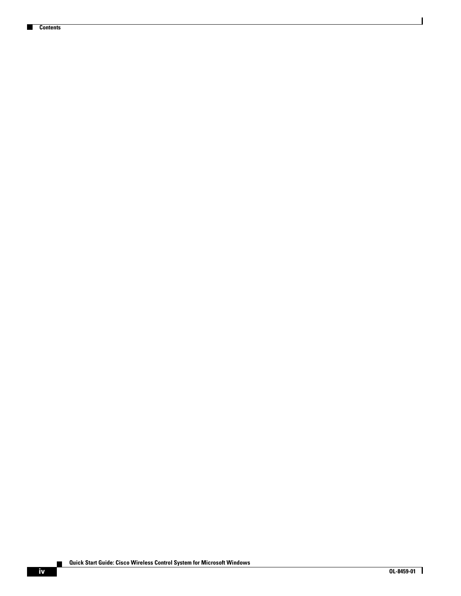**Contents**

 $\overline{\mathbf{I}}$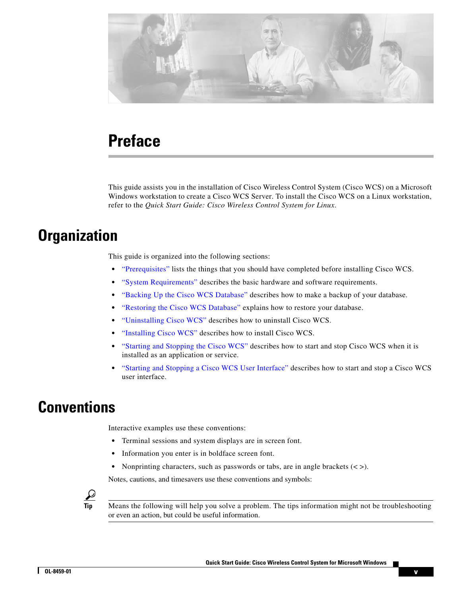

# <span id="page-4-0"></span>**Preface**

This guide assists you in the installation of Cisco Wireless Control System (Cisco WCS) on a Microsoft Windows workstation to create a Cisco WCS Server. To install the Cisco WCS on a Linux workstation, refer to the *Quick Start Guide: Cisco Wireless Control System for Linux*.

# <span id="page-4-1"></span>**Organization**

This guide is organized into the following sections:

- **•** ["Prerequisites"](#page-11-2) lists the things that you should have completed before installing Cisco WCS.
- **•** ["System Requirements"](#page-11-3) describes the basic hardware and software requirements.
- **•** ["Backing Up the Cisco WCS Database"](#page-12-2) describes how to make a backup of your database.
- **•** ["Restoring the Cisco WCS Database"](#page-12-3) explains how to restore your database.
- **•** ["Uninstalling Cisco WCS"](#page-13-1) describes how to uninstall Cisco WCS.
- **•** ["Installing Cisco WCS"](#page-14-1) describes how to install Cisco WCS.
- ["Starting and Stopping the Cisco WCS"](#page-19-2) describes how to start and stop Cisco WCS when it is installed as an application or service.
- **•** ["Starting and Stopping a Cisco WCS User Interface"](#page-20-3) describes how to start and stop a Cisco WCS user interface.

# <span id="page-4-2"></span>**Conventions**

Interactive examples use these conventions:

- **•** Terminal sessions and system displays are in screen font.
- **•** Information you enter is in boldface screen font.
- Nonprinting characters, such as passwords or tabs, are in angle brackets  $(\langle \rangle)$ .

Notes, cautions, and timesavers use these conventions and symbols:



**Tip** Means the following will help you solve a problem. The tips information might not be troubleshooting or even an action, but could be useful information.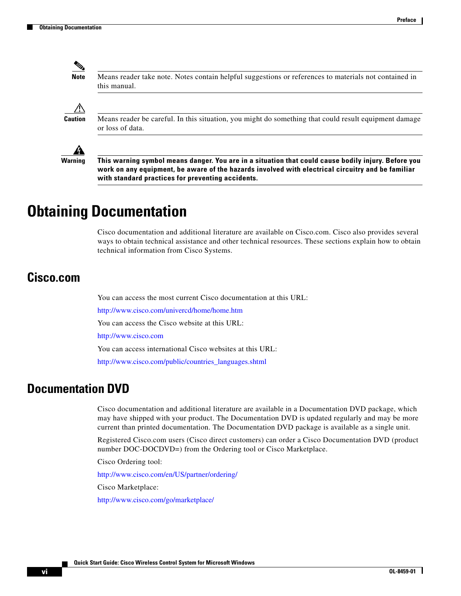

**Note** Means reader take note. Notes contain helpful suggestions or references to materials not contained in this manual.

**Caution** Means reader be careful. In this situation, you might do something that could result equipment damage or loss of data.



**Warning This warning symbol means danger. You are in a situation that could cause bodily injury. Before you work on any equipment, be aware of the hazards involved with electrical circuitry and be familiar with standard practices for preventing accidents.**

# <span id="page-5-0"></span>**Obtaining Documentation**

Cisco documentation and additional literature are available on Cisco.com. Cisco also provides several ways to obtain technical assistance and other technical resources. These sections explain how to obtain technical information from Cisco Systems.

### <span id="page-5-1"></span>**Cisco.com**

You can access the most current Cisco documentation at this URL: [http://www.cisco.com/univercd/home/home.htm](http://www.cisco.com/univercd/home/home.htm ) You can access the Cisco website at this URL: <http://www.cisco.com>

You can access international Cisco websites at this URL:

[http://www.cisco.com/public/countries\\_languages.shtml](http://www.cisco.com/public/countries_languages.shtml)

### <span id="page-5-2"></span>**Documentation DVD**

Cisco documentation and additional literature are available in a Documentation DVD package, which may have shipped with your product. The Documentation DVD is updated regularly and may be more current than printed documentation. The Documentation DVD package is available as a single unit.

Registered Cisco.com users (Cisco direct customers) can order a Cisco Documentation DVD (product number DOC-DOCDVD=) from the Ordering tool or Cisco Marketplace.

Cisco Ordering tool:

[http://www.cisco.com/en/US/partner/ordering/](http://www.cisco.com/public/countries_languages.shtml)

Cisco Marketplace:

<http://www.cisco.com/go/marketplace/>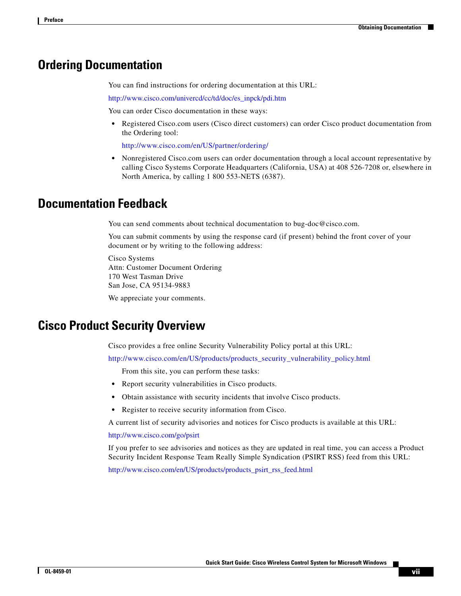### <span id="page-6-0"></span>**Ordering Documentation**

You can find instructions for ordering documentation at this URL:

[http://www.cisco.com/univercd/cc/td/doc/es\\_inpck/pdi.htm](http://www.cisco.com/univercd/cc/td/doc/es_inpck/pdi.htm)

You can order Cisco documentation in these ways:

**•** Registered Cisco.com users (Cisco direct customers) can order Cisco product documentation from the Ordering tool:

[http://www.cisco.com/en/US/partner/ordering/](http://www.cisco.com/univercd/cc/td/doc/es_inpck/pdi.htm)

• Nonregistered Cisco.com users can order documentation through a local account representative by calling Cisco Systems Corporate Headquarters (California, USA) at 408 526-7208 or, elsewhere in North America, by calling 1 800 553-NETS (6387).

### <span id="page-6-1"></span>**Documentation Feedback**

You can send comments about technical documentation to bug-doc@cisco.com.

You can submit comments by using the response card (if present) behind the front cover of your document or by writing to the following address:

Cisco Systems Attn: Customer Document Ordering 170 West Tasman Drive San Jose, CA 95134-9883

We appreciate your comments.

### <span id="page-6-2"></span>**Cisco Product Security Overview**

Cisco provides a free online Security Vulnerability Policy portal at this URL:

http://www.cisco.com/en/US/products/products\_security\_vulnerability\_policy.html

From this site, you can perform these tasks:

- **•** Report security vulnerabilities in Cisco products.
- **•** Obtain assistance with security incidents that involve Cisco products.
- **•** Register to receive security information from Cisco.

A current list of security advisories and notices for Cisco products is available at this URL:

#### <http://www.cisco.com/go/psirt>

If you prefer to see advisories and notices as they are updated in real time, you can access a Product Security Incident Response Team Really Simple Syndication (PSIRT RSS) feed from this URL:

[http://www.cisco.com/en/US/products/products\\_psirt\\_rss\\_feed.html](http://www.cisco.com/en/US/products/products_psirt_rss_feed.html)

Г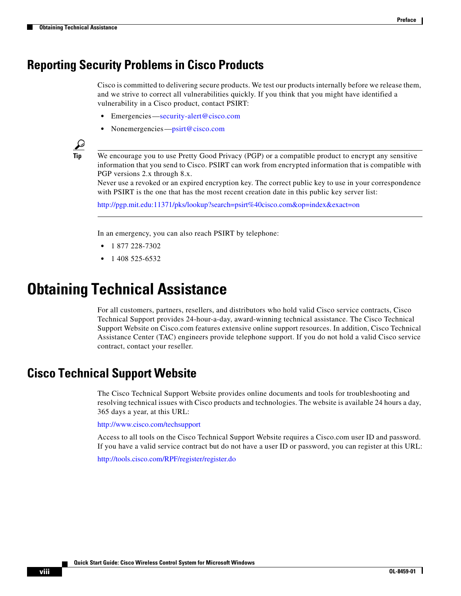### <span id="page-7-0"></span>**Reporting Security Problems in Cisco Products**

Cisco is committed to delivering secure products. We test our products internally before we release them, and we strive to correct all vulnerabilities quickly. If you think that you might have identified a vulnerability in a Cisco product, contact PSIRT:

- **•** Emergencies—security-alert@cisco.com
- **•** Nonemergencies—psirt@cisco.com



**Tip** We encourage you to use Pretty Good Privacy (PGP) or a compatible product to encrypt any sensitive information that you send to Cisco. PSIRT can work from encrypted information that is compatible with PGP versions 2.x through 8.x.

Never use a revoked or an expired encryption key. The correct public key to use in your correspondence with PSIRT is the one that has the most recent creation date in this public key server list:

<http://pgp.mit.edu:11371/pks/lookup?search=psirt%40cisco.com&op=index&exact=on>

In an emergency, you can also reach PSIRT by telephone:

- **•** 1 877 228-7302
- **•** 1 408 525-6532

# <span id="page-7-1"></span>**Obtaining Technical Assistance**

For all customers, partners, resellers, and distributors who hold valid Cisco service contracts, Cisco Technical Support provides 24-hour-a-day, award-winning technical assistance. The Cisco Technical Support Website on Cisco.com features extensive online support resources. In addition, Cisco Technical Assistance Center (TAC) engineers provide telephone support. If you do not hold a valid Cisco service contract, contact your reseller.

### <span id="page-7-2"></span>**Cisco Technical Support Website**

The Cisco Technical Support Website provides online documents and tools for troubleshooting and resolving technical issues with Cisco products and technologies. The website is available 24 hours a day, 365 days a year, at this URL:

<http://www.cisco.com/techsupport>

Access to all tools on the Cisco Technical Support Website requires a Cisco.com user ID and password. If you have a valid service contract but do not have a user ID or password, you can register at this URL:

<http://tools.cisco.com/RPF/register/register.do>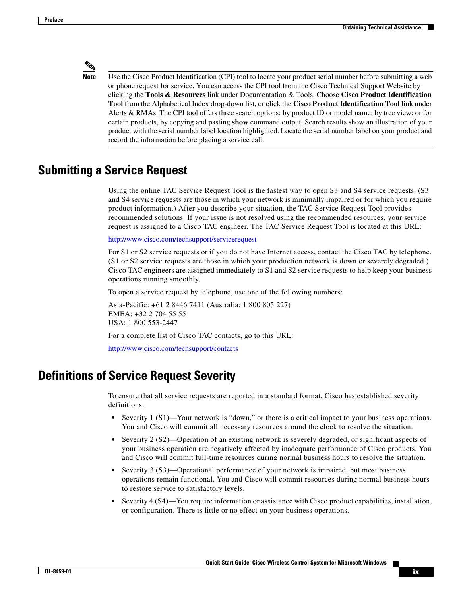

**Note** Use the Cisco Product Identification (CPI) tool to locate your product serial number before submitting a web or phone request for service. You can access the CPI tool from the Cisco Technical Support Website by clicking the **Tools & Resources** link under Documentation & Tools. Choose **Cisco Product Identification Tool** from the Alphabetical Index drop-down list, or click the **Cisco Product Identification Tool** link under Alerts & RMAs. The CPI tool offers three search options: by product ID or model name; by tree view; or for certain products, by copying and pasting **show** command output. Search results show an illustration of your product with the serial number label location highlighted. Locate the serial number label on your product and record the information before placing a service call.

### <span id="page-8-0"></span>**Submitting a Service Request**

Using the online TAC Service Request Tool is the fastest way to open S3 and S4 service requests. (S3 and S4 service requests are those in which your network is minimally impaired or for which you require product information.) After you describe your situation, the TAC Service Request Tool provides recommended solutions. If your issue is not resolved using the recommended resources, your service request is assigned to a Cisco TAC engineer. The TAC Service Request Tool is located at this URL:

<http://www.cisco.com/techsupport/servicerequest>

For S1 or S2 service requests or if you do not have Internet access, contact the Cisco TAC by telephone. (S1 or S2 service requests are those in which your production network is down or severely degraded.) Cisco TAC engineers are assigned immediately to S1 and S2 service requests to help keep your business operations running smoothly.

To open a service request by telephone, use one of the following numbers:

Asia-Pacific: +61 2 8446 7411 (Australia: 1 800 805 227) EMEA: +32 2 704 55 55 USA: 1 800 553-2447

For a complete list of Cisco TAC contacts, go to this URL:

http://www.cisco.com/techsupport/contacts

### <span id="page-8-1"></span>**Definitions of Service Request Severity**

To ensure that all service requests are reported in a standard format, Cisco has established severity definitions.

- Severity 1 (S1)—Your network is "down," or there is a critical impact to your business operations. You and Cisco will commit all necessary resources around the clock to resolve the situation.
- Severity 2 (S2)—Operation of an existing network is severely degraded, or significant aspects of your business operation are negatively affected by inadequate performance of Cisco products. You [and Cisco will commit full-time resources during normal business hours to resolve the situation](http://tools.cisco.com/RPF/register/register.do).
- **•** Severity 3 (S3)—Operational performance of your network is impaired, but most business operations remain functional. You and Cisco will commit resources during normal business hours to restore service to satisfactory levels.
- **•** Severity 4 (S4)—You require information or assistance with Cisco product capabilities, installation, or configuration. There is little or no effect on your business operations.

I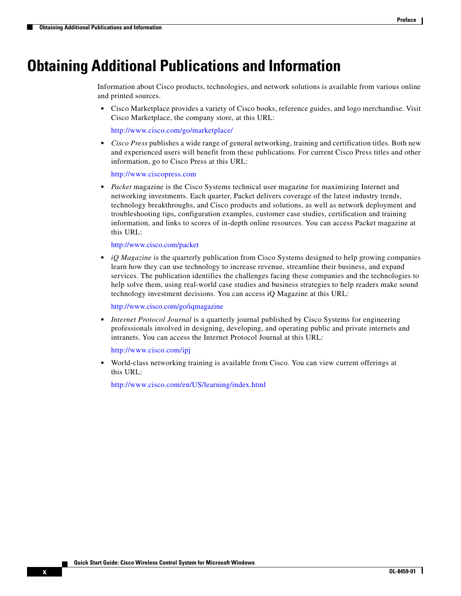# <span id="page-9-0"></span>**Obtaining Additional Publications and Information**

Information about Cisco products, technologies, and network solutions is available from various online and printed sources.

**•** Cisco Marketplace provides a variety of Cisco books, reference guides, and logo merchandise. Visit Cisco Marketplace, the company store, at this URL:

<http://www.cisco.com/go/marketplace/>

**•** *Cisco Press* publishes a wide range of general networking, training and certification titles. Both new and experienced users will benefit from these publications. For current Cisco Press titles and other information, go to Cisco Press at this URL:

<http://www.ciscopress.com>

**•** *Packet* magazine is the Cisco Systems technical user magazine for maximizing Internet and networking investments. Each quarter, Packet delivers coverage of the latest industry trends, technology breakthroughs, and Cisco products and solutions, as well as network deployment and troubleshooting tips, configuration examples, customer case studies, certification and training information, and links to scores of in-depth online resources. You can access Packet magazine at this URL:

<http://www.cisco.com/packet>

• *iQ Magazine* is the quarterly publication from Cisco Systems designed to help growing companies learn how they can use technology to increase revenue, streamline their business, and expand services. The publication identifies the challenges facing these companies and the technologies to help solve them, using real-world case studies and business strategies to help readers make sound technology investment decisions. You can access iQ Magazine at this URL:

http://www.cisco.com/go/iqmagazine

• *Internet Protocol Journal* is a quarterly journal published by Cisco Systems for engineering professionals involved in designing, developing, and operating public and private internets and intranets. You can access the Internet Protocol Journal at this URL:

<http://www.cisco.com/ipj>

**•** World-class networking training is available from Cisco. You can view current offerings at this URL:

<http://www.cisco.com/en/US/learning/index.html>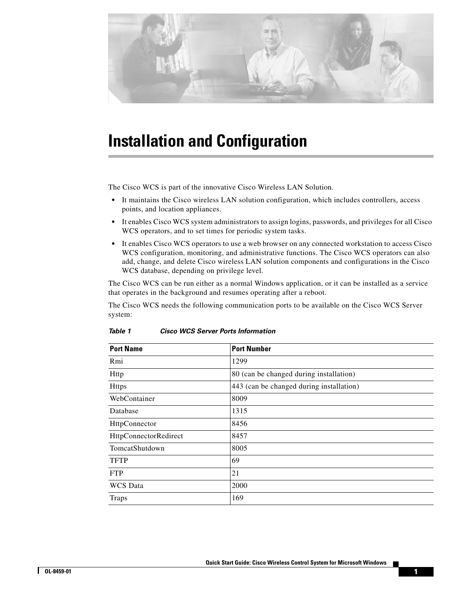

# <span id="page-10-0"></span>**Installation and Configuration**

The Cisco WCS is part of the innovative Cisco Wireless LAN Solution.

- **•** It maintains the Cisco wireless LAN solution configuration, which includes controllers, access points, and location appliances.
- It enables Cisco WCS system administrators to assign logins, passwords, and privileges for all Cisco WCS operators, and to set times for periodic system tasks.
- It enables Cisco WCS operators to use a web browser on any connected workstation to access Cisco WCS configuration, monitoring, and administrative functions. The Cisco WCS operators can also add, change, and delete Cisco wireless LAN solution components and configurations in the Cisco WCS database, depending on privilege level.

The Cisco WCS can be run either as a normal Windows application, or it can be installed as a service that operates in the background and resumes operating after a reboot.

The Cisco WCS needs the following communication ports to be available on the Cisco WCS Server system:

| <b>Port Name</b>      | <b>Port Number</b>                       |
|-----------------------|------------------------------------------|
| Rmi                   | 1299                                     |
| Http                  | 80 (can be changed during installation)  |
| <b>Https</b>          | 443 (can be changed during installation) |
| WebContainer          | 8009                                     |
| Database              | 1315                                     |
| HttpConnector         | 8456                                     |
| HttpConnectorRedirect | 8457                                     |
| TomcatShutdown        | 8005                                     |
| <b>TFTP</b>           | 69                                       |
| <b>FTP</b>            | 21                                       |
| <b>WCS</b> Data       | 2000                                     |
| <b>Traps</b>          | 169                                      |
|                       |                                          |

#### *Table 1 Cisco WCS Server Ports Information*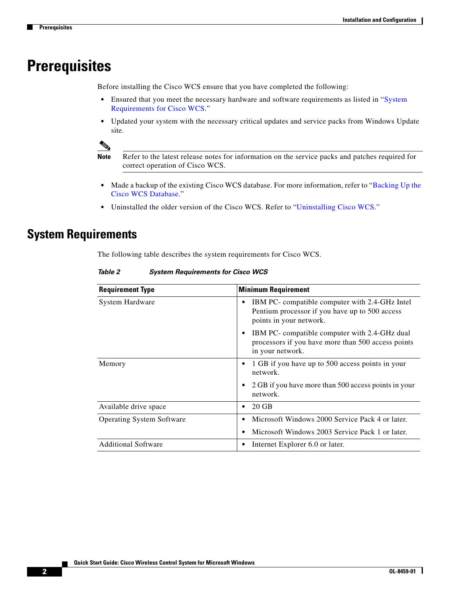# <span id="page-11-2"></span><span id="page-11-0"></span>**Prerequisites**

Before installing the Cisco WCS ensure that you have completed the following:

- Ensured that you meet the necessary hardware and software requirements as listed in "System" [Requirements for Cisco WCS.](#page-11-4)"
- **•** Updated your system with the necessary critical updates and service packs from Windows Update site.



**Note** Refer to the latest release notes for information on the service packs and patches required for correct operation of Cisco WCS.

- Made a backup of the existing Cisco WCS database. For more information, refer to "Backing Up the [Cisco WCS Database](#page-12-0)."
- **•** Uninstalled the older version of the Cisco WCS. Refer to "[Uninstalling Cisco WCS](#page-13-0)."

## <span id="page-11-4"></span><span id="page-11-3"></span><span id="page-11-1"></span>**System Requirements**

The following table describes the system requirements for Cisco WCS.

| <b>Requirement Type</b>          | <b>Minimum Requirement</b>                                                                                                       |
|----------------------------------|----------------------------------------------------------------------------------------------------------------------------------|
| System Hardware                  | IBM PC- compatible computer with 2.4-GHz Intel<br>c<br>Pentium processor if you have up to 500 access<br>points in your network. |
|                                  | IBM PC- compatible computer with 2.4-GHz dual<br>٠<br>processors if you have more than 500 access points<br>in your network.     |
| Memory                           | 1 GB if you have up to 500 access points in your<br>٠<br>network.                                                                |
|                                  | 2 GB if you have more than 500 access points in your<br>network.                                                                 |
| Available drive space            | $20$ GB                                                                                                                          |
| <b>Operating System Software</b> | Microsoft Windows 2000 Service Pack 4 or later.                                                                                  |
|                                  | Microsoft Windows 2003 Service Pack 1 or later.                                                                                  |
| <b>Additional Software</b>       | Internet Explorer 6.0 or later.                                                                                                  |

*Table 2 System Requirements for Cisco WCS*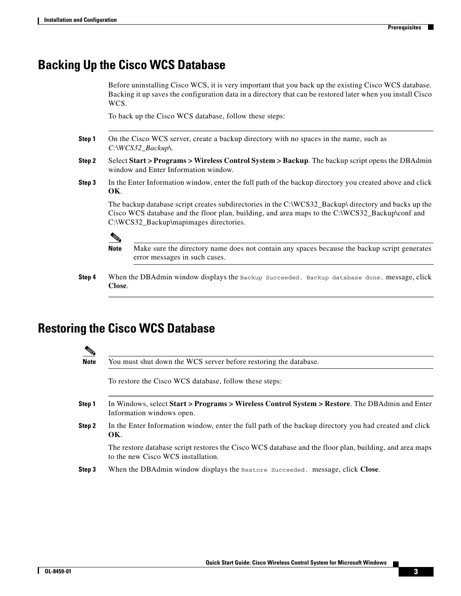### <span id="page-12-2"></span><span id="page-12-0"></span>**Backing Up the Cisco WCS Database**

Before uninstalling Cisco WCS, it is very important that you back up the existing Cisco WCS database. Backing it up saves the configuration data in a directory that can be restored later when you install Cisco WCS.

To back up the Cisco WCS database, follow these steps:

- **Step 1** On the Cisco WCS server, create a backup directory with no spaces in the name, such as *C:\WCS32\_Backup\*.
- **Step 2** Select **Start > Programs > Wireless Control System > Backup**. The backup script opens the DBAdmin window and Enter Information window.
- **Step 3** In the Enter Information window, enter the full path of the backup directory you created above and click **OK**.

The backup database script creates subdirectories in the C:\WCS32\_Backup\ directory and backs up the Cisco WCS database and the floor plan, building, and area maps to the C:\WCS32\_Backup\conf and C:\WCS32\_Backup\mapimages directories.



**Note** Make sure the directory name does not contain any spaces because the backup script generates error messages in such cases.

**Step 4** When the DBAdmin window displays the Backup Succeeded. Backup database done. message, click **Close**.

### <span id="page-12-3"></span><span id="page-12-1"></span>**Restoring the Cisco WCS Database**



**Note** You must shut down the WCS server before restoring the database.

To restore the Cisco WCS database, follow these steps:

- **Step 1** In Windows, select **Start > Programs > Wireless Control System > Restore**. The DBAdmin and Enter Information windows open.
- **Step 2** In the Enter Information window, enter the full path of the backup directory you had created and click **OK**.

The restore database script restores the Cisco WCS database and the floor plan, building, and area maps to the new Cisco WCS installation.

**Step 3** When the DBAdmin window displays the Restore Succeeded. message, click **Close**.

I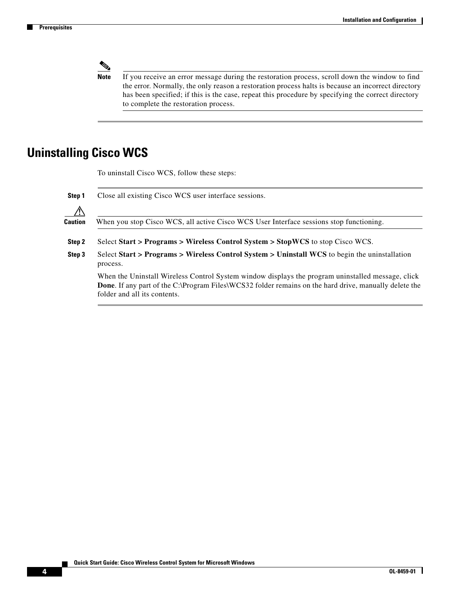**Note** If you receive an error message during the restoration process, scroll down the window to find the error. Normally, the only reason a restoration process halts is because an incorrect directory has been specified; if this is the case, repeat this procedure by specifying the correct directory to complete the restoration process.

### <span id="page-13-1"></span><span id="page-13-0"></span>**Uninstalling Cisco WCS**

To uninstall Cisco WCS, follow these steps:

**Step 1** Close all existing Cisco WCS user interface sessions.

**Caution** When you stop Cisco WCS, all active Cisco WCS User Interface sessions stop functioning.

**Step 2** Select **Start > Programs > Wireless Control System > StopWCS** to stop Cisco WCS.

**Step 3** Select **Start > Programs > Wireless Control System > Uninstall WCS** to begin the uninstallation process.

When the Uninstall Wireless Control System window displays the program uninstalled message, click **Done**. If any part of the C:\Program Files\WCS32 folder remains on the hard drive, manually delete the folder and all its contents.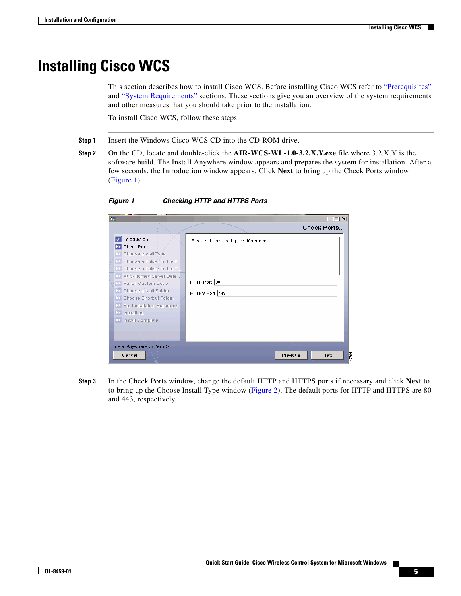# <span id="page-14-1"></span><span id="page-14-0"></span>**Installing Cisco WCS**

This section describes how to install Cisco WCS. Before installing Cisco WCS refer to ["Prerequisites"](#page-11-0) and ["System Requirements"](#page-11-1) sections. These sections give you an overview of the system requirements and other measures that you should take prior to the installation.

To install Cisco WCS, follow these steps:

- **Step 1** Insert the Windows Cisco WCS CD into the CD-ROM drive.
- **Step 2** On the CD, locate and double-click the **AIR-WCS-WL-1.0-3.2.X.Y.exe** file where 3.2.X.Y is the software build. The Install Anywhere window appears and prepares the system for installation. After a few seconds, the Introduction window appears. Click **Next** to bring up the Check Ports window ([Figure 1\)](#page-14-2).

| V.                                                                                                                                                                                                                                                                                                                                                                        | $ \Box$ $\times$                                                     |        |
|---------------------------------------------------------------------------------------------------------------------------------------------------------------------------------------------------------------------------------------------------------------------------------------------------------------------------------------------------------------------------|----------------------------------------------------------------------|--------|
|                                                                                                                                                                                                                                                                                                                                                                           | <b>Check Ports</b>                                                   |        |
| $\sqrt{\ }$ Introduction<br><b>D</b> Check Ports<br><b>D</b> Choose Install Type<br>Choose a Folder for the F<br>$\rightarrow$<br>De Choose a Folder for the T<br>Multi-Homed Server Dete<br>D Panel: Custom Code<br><b>D</b> Choose Install Folder<br>D Choose Shortcut Folder<br><b>D</b> Pre-Installation Summary<br>$\triangleright$ Installing<br>D Install Complete | Please change web ports if needed.<br>HTTP Port 80<br>HTTPS Port 443 |        |
| InstallAnywhere by Zero G<br>Cancel                                                                                                                                                                                                                                                                                                                                       | Previous<br>Next                                                     | 142764 |

<span id="page-14-2"></span>*Figure 1 Checking HTTP and HTTPS Ports*

**Step 3** In the Check Ports window, change the default HTTP and HTTPS ports if necessary and click **Next** to to bring up the Choose Install Type window ([Figure 2\)](#page-15-0). The default ports for HTTP and HTTPS are 80 and 443, respectively.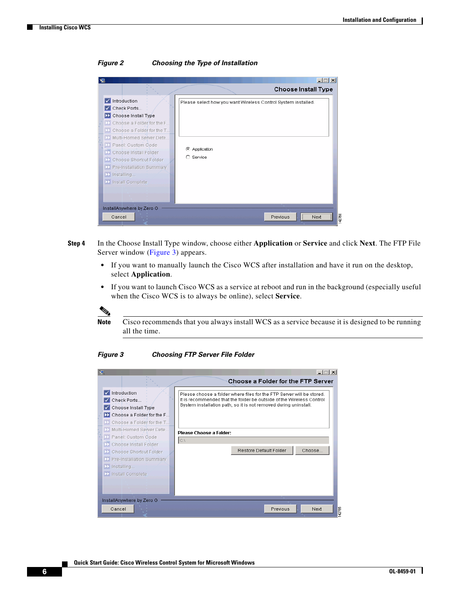

<span id="page-15-0"></span>*Figure 2 Choosing the Type of Installation*

- **Step 4** In the Choose Install Type window, choose either **Application** or **Service** and click **Next**. The FTP File Server window ([Figure 3\)](#page-15-1) appears.
	- If you want to manually launch the Cisco WCS after installation and have it run on the desktop, select **Application**.
	- **•** If you want to launch Cisco WCS as a service at reboot and run in the background (especially useful when the Cisco WCS is to always be online), select **Service**.



**Note** Cisco recommends that you always install WCS as a service because it is designed to be running all the time.

<span id="page-15-1"></span>*Figure 3 Choosing FTP Server File Folder*

| 短                                                                                                                                                                     | – I⊡I ×I                                                                                                                                                                                                          |
|-----------------------------------------------------------------------------------------------------------------------------------------------------------------------|-------------------------------------------------------------------------------------------------------------------------------------------------------------------------------------------------------------------|
|                                                                                                                                                                       | <b>Choose a Folder for the FTP Server</b>                                                                                                                                                                         |
| $\sqrt{\ }$ Introduction<br>Check Ports<br>Choose Install Type<br><b>D</b> Choose a Folder for the F<br>De Choose a Folder for the T                                  | Please choose a folder where files for the FTP Server will be stored.<br>It is recommended that the folder be outside of the Wireless Control<br>System installation path, so it is not removed during uninstall. |
| Multi-Homed Server Dete                                                                                                                                               | Please Choose a Folder:                                                                                                                                                                                           |
| D Panel: Custom Code<br><b>DE</b> Choose Install Folder<br>DE Choose Shortcut Folder<br>>> Pre-Installation Summary<br>$\rightarrow$ Installing<br>D Install Complete | lc۱<br>Restore Default Folder<br>Choose                                                                                                                                                                           |
| InstallAnywhere by Zero G<br>Cancel                                                                                                                                   | 765<br>Previous<br>Next                                                                                                                                                                                           |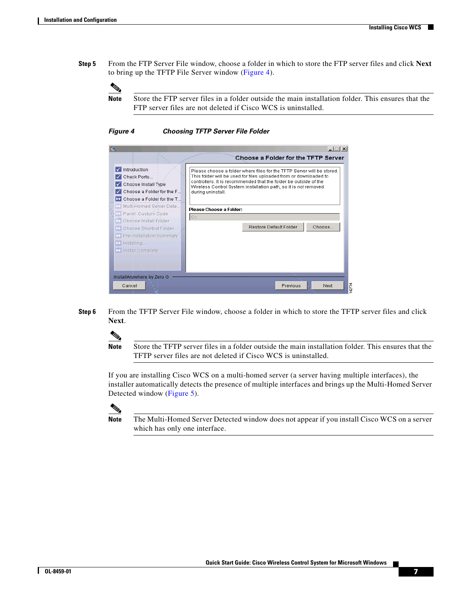**Step 5** From the FTP Server File window, choose a folder in which to store the FTP server files and click **Next** to bring up the TFTP File Server window [\(Figure 4\)](#page-16-0).



**Note** Store the FTP server files in a folder outside the main installation folder. This ensures that the FTP server files are not deleted if Cisco WCS is uninstalled.

<span id="page-16-0"></span>*Figure 4 Choosing TFTP Server File Folder*

| V.                                                                                                                                          | $ \Box$ $\times$                                                                                                                                                                                                                                                                                        |
|---------------------------------------------------------------------------------------------------------------------------------------------|---------------------------------------------------------------------------------------------------------------------------------------------------------------------------------------------------------------------------------------------------------------------------------------------------------|
|                                                                                                                                             | <b>Choose a Folder for the TFTP Server</b>                                                                                                                                                                                                                                                              |
| Introduction<br>Check Ports<br>Choose Install Type<br>$\blacktriangleright$ Choose a Folder for the F<br><b>D</b> Choose a Folder for the T | Please choose a folder where files for the TFTP Server will be stored.<br>This folder will be used for files uploaded from or downloaded to<br>controllers. It is recommended that the folder be outside of the<br>Wireless Control System installation path, so it is not removed<br>during uninstall. |
| Multi-Homed Server Dete<br>D Panel: Custom Code                                                                                             | Please Choose a Folder:<br>[C:∖                                                                                                                                                                                                                                                                         |
| <b>D</b> Choose Install Folder<br>D Choose Shortcut Folder<br>D Pre-Installation Summary<br>$\rightarrow$ Installing<br>D Install Complete  | Restore Default Folder<br>Choose                                                                                                                                                                                                                                                                        |
| InstallAnywhere by Zero G<br>Cancel                                                                                                         | 42774<br>Previous<br>Next                                                                                                                                                                                                                                                                               |

**Step 6** From the TFTP Server File window, choose a folder in which to store the TFTP server files and click **Next**.



**Note** Store the TFTP server files in a folder outside the main installation folder. This ensures that the TFTP server files are not deleted if Cisco WCS is uninstalled.

If you are installing Cisco WCS on a multi-homed server (a server having multiple interfaces), the installer automatically detects the presence of multiple interfaces and brings up the Multi-Homed Server Detected window ([Figure 5](#page-17-0)).

**Note** The Multi-Homed Server Detected window does not appear if you install Cisco WCS on a server which has only one interface.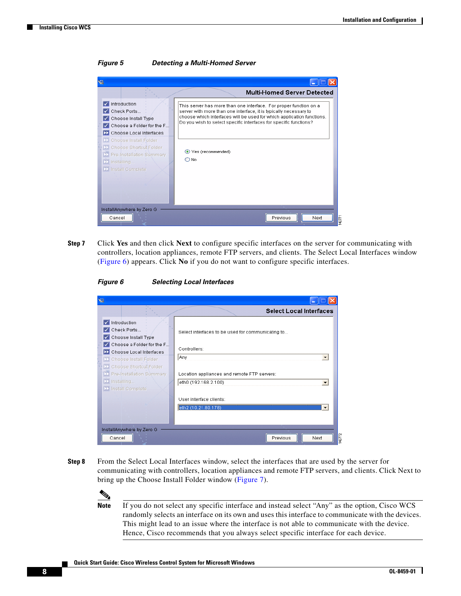| 噑                                                                                                                                         | <b>Multi-Homed Server Detected</b>                                                                                                                                                                                                                                                   |
|-------------------------------------------------------------------------------------------------------------------------------------------|--------------------------------------------------------------------------------------------------------------------------------------------------------------------------------------------------------------------------------------------------------------------------------------|
| $\sqrt{\phantom{a}}$ Introduction<br>Check Ports<br>Choose Install Type<br>Choose a Folder for the F<br><b>DE</b> Choose Local Interfaces | This server has more than one interface. For proper function on a<br>server with more than one interface, it is typically necessary to<br>choose which interfaces will be used for which application functions.<br>Do you wish to select specific interfaces for specific functions? |
| De Choose Install Folder<br>D Choose Shortcut Folder<br>D Pre-Installation Summary<br>D Installing<br>D Install Complete                  | ⊙ Yes (recommended)<br>No                                                                                                                                                                                                                                                            |
| InstallAnywhere by Zero G<br>Cancel                                                                                                       | Previous<br>Next                                                                                                                                                                                                                                                                     |

**Step 7** Click **Yes** and then click **Next** to configure specific interfaces on the server for communicating with controllers, location appliances, remote FTP servers, and clients. The Select Local Interfaces window ([Figure 6](#page-17-1)) appears. Click **No** if you do not want to configure specific interfaces.

| 狸                                                                                                                                                              |                                                                                |
|----------------------------------------------------------------------------------------------------------------------------------------------------------------|--------------------------------------------------------------------------------|
|                                                                                                                                                                | <b>Select Local Interfaces</b>                                                 |
| $\sqrt{\phantom{a}}$ Introduction<br>Check Ports<br>Choose Install Type<br>$\blacktriangleright$ Choose a Folder for the F<br><b>D</b> Choose Local Interfaces | Select interfaces to be used for communicating to<br>Controllers:              |
| D Choose Install Folder<br>D Choose Shortcut Folder<br>D Pre-Installation Summary                                                                              | Any<br>$\overline{\phantom{a}}$<br>Location appliances and remote FTP servers: |
| D Installing<br><b>D</b> Install Complete                                                                                                                      | eth0 (192.168.2.100)<br>▼                                                      |
|                                                                                                                                                                | User interface clients:<br>eth2 (10.21.80.178)                                 |
| InstallAnywhere by Zero G<br>Cancel                                                                                                                            | Previous<br>Next                                                               |

<span id="page-17-1"></span>*Figure 6 Selecting Local Interfaces*

<span id="page-17-0"></span>*Figure 5 Detecting a Multi-Homed Server*

**Step 8** From the Select Local Interfaces window, select the interfaces that are used by the server for communicating with controllers, location appliances and remote FTP servers, and clients. Click Next to bring up the Choose Install Folder window ([Figure 7](#page-18-0)).

**Note** If you do not select any specific interface and instead select "Any" as the option, Cisco WCS randomly selects an interface on its own and uses this interface to communicate with the devices. This might lead to an issue where the interface is not able to communicate with the device. Hence, Cisco recommends that you always select specific interface for each device.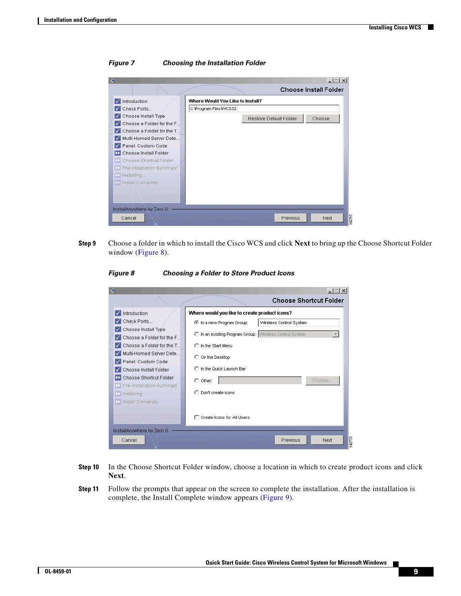П

<span id="page-18-0"></span>

*Figure 7 Choosing the Installation Folder*

**Step 9** Choose a folder in which to install the Cisco WCS and click **Next** to bring up the Choose Shortcut Folder window [\(Figure 8\)](#page-18-1).

<span id="page-18-1"></span>*Figure 8 Choosing a Folder to Store Product Icons*

| $\sqrt{2}$                                                             | $ \Box$ $\times$                                                               |
|------------------------------------------------------------------------|--------------------------------------------------------------------------------|
|                                                                        | <b>Choose Shortcut Folder</b>                                                  |
| Introduction                                                           | Where would you like to create product icons?                                  |
| Check Ports                                                            | <b><i>C</i></b> In a new Program Group:<br>Wireless Control System             |
| Choose Install Type<br>$\blacktriangleright$ Choose a Folder for the F | C In an existing Program Group: Wireless Control System<br>$\overline{\nabla}$ |
| $\blacktriangleright$ Choose a Folder for the T                        | $\bigcap$ In the Start Menu                                                    |
| Multi-Homed Server Dete<br>Panel: Custom Code                          | C On the Desktop                                                               |
| Choose Install Folder                                                  | In the Quick Launch Bar                                                        |
| Choose Shortcut Folder<br><b>D</b> Pre-Installation Summary            | Choose<br>$\bigcirc$ Other:                                                    |
| $\triangleright$ Installing<br>D Install Complete                      | Don't create icons                                                             |
|                                                                        | Create Icons for All Users                                                     |
| InstallAnywhere by Zero G                                              |                                                                                |
| Cancel                                                                 | Previous<br>Next                                                               |

- **Step 10** In the Choose Shortcut Folder window, choose a location in which to create product icons and click **Next**.
- **Step 11** Follow the prompts that appear on the screen to complete the installation. After the installation is complete, the Install Complete window appears [\(Figure 9\)](#page-19-3).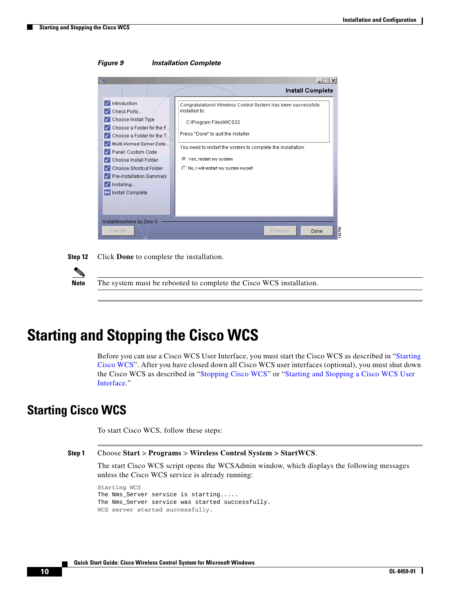| V.                                                                                                                                                                                                                                                                                                           | $ \Box$ $\times$<br><b>Install Complete</b>                                                                                                                                                                                                                                           |
|--------------------------------------------------------------------------------------------------------------------------------------------------------------------------------------------------------------------------------------------------------------------------------------------------------------|---------------------------------------------------------------------------------------------------------------------------------------------------------------------------------------------------------------------------------------------------------------------------------------|
| Introduction<br>Check Ports<br>Choose Install Type<br>$\blacktriangledown$ Choose a Folder for the F<br>Choose a Folder for the T<br>Multi-Homed Server Dete<br>Panel: Custom Code<br>Choose Install Folder<br>Choose Shortcut Folder<br>Pre-Installation Summary<br>Installing<br><b>D</b> Install Complete | Congratulations! Wireless Control System has been successfully<br>installed to:<br>C:\Program Files\WCS32<br>Press "Done" to quit the installer.<br>You need to restart the system to complete the installation.<br>⊙ Yes, restart my system<br>O No, I will restart my system myself |
| InstallAnywhere by Zero G<br>Cancel                                                                                                                                                                                                                                                                          | Previous<br>Done                                                                                                                                                                                                                                                                      |

<span id="page-19-3"></span>*Figure 9 Installation Complete*

**Step 12** Click **Done** to complete the installation.

**Note** The system must be rebooted to complete the Cisco WCS installation.

# <span id="page-19-2"></span><span id="page-19-0"></span>**Starting and Stopping the Cisco WCS**

Before you can use a Cisco WCS User Interface, you must start the Cisco WCS as described in "[Starting](#page-19-1)  [Cisco WCS"](#page-19-1). After you have closed down all Cisco WCS user interfaces (optional), you must shut down the Cisco WCS as described in ["Stopping Cisco WCS](#page-20-1)" or "[Starting and Stopping a Cisco WCS User](#page-20-2)  [Interface.](#page-20-2)"

### <span id="page-19-1"></span>**Starting Cisco WCS**

To start Cisco WCS, follow these steps:

```
Step 1 Choose Start > Programs > Wireless Control System > StartWCS.
```
The start Cisco WCS script opens the WCSAdmin window, which displays the following messages unless the Cisco WCS service is already running:

```
Starting WCS 
The Nms_Server service is starting.....
The Nms_Server service was started successfully.
WCS server started successfully.
```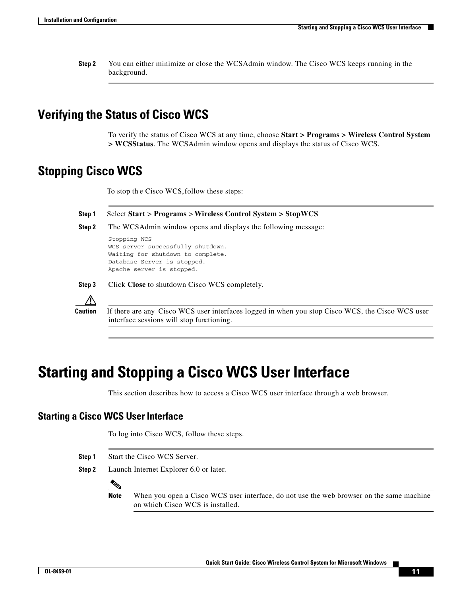**Step 2** You can either minimize or close the WCSAdmin window. The Cisco WCS keeps running in the background.

### <span id="page-20-0"></span>**Verifying the Status of Cisco WCS**

To verify the status of Cisco WCS at any time, choose **Start > Programs > Wireless Control System > WCSStatus**. The WCSAdmin window opens and displays the status of Cisco WCS.

### <span id="page-20-1"></span>**Stopping Cisco WCS**

To stop th e Cisco WCS, follow these steps:

**Step 1** Select **Start** > **Programs** > **Wireless Control System > StopWCS**. **Step 2** The WCSAdmin window opens and displays the following message: Stopping WCS WCS server successfully shutdown. Waiting for shutdown to complete. Database Server is stopped. Apache server is stopped. **Step 3** Click **Close** to shutdown Cisco WCS completely. ⁄!\

**Caution** If there are any Cisco WCS user interfaces logged in when you stop Cisco WCS, the Cisco WCS user interface sessions will stop functioning.

# <span id="page-20-3"></span><span id="page-20-2"></span>**Starting and Stopping a Cisco WCS User Interface**

This section describes how to access a Cisco WCS user interface through a web browser.

#### <span id="page-20-4"></span>**Starting a Cisco WCS User Interface**

To log into Cisco WCS, follow these steps.

**Step 1** Start the Cisco WCS Server.

**Step 2** Launch Internet Explorer 6.0 or later.



**Note** When you open a Cisco WCS user interface, do not use the web browser on the same machine on which Cisco WCS is installed.

Г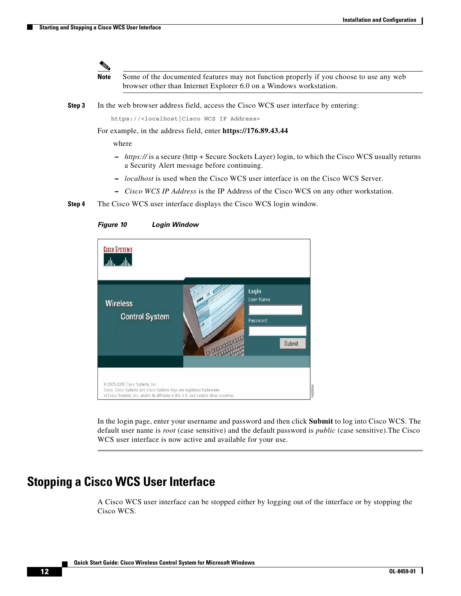

**Step 4** The Cisco WCS user interface displays the Cisco WCS login window.

*Figure 10 Login Window*



In the login page, enter your username and password and then click **Submit** to log into Cisco WCS. The default user name is *root* (case sensitive) and the default password is *public* (case sensitive).The Cisco WCS user interface is now active and available for your use.

### <span id="page-21-0"></span>**Stopping a Cisco WCS User Interface**

A Cisco WCS user interface can be stopped either by logging out of the interface or by stopping the Cisco WCS.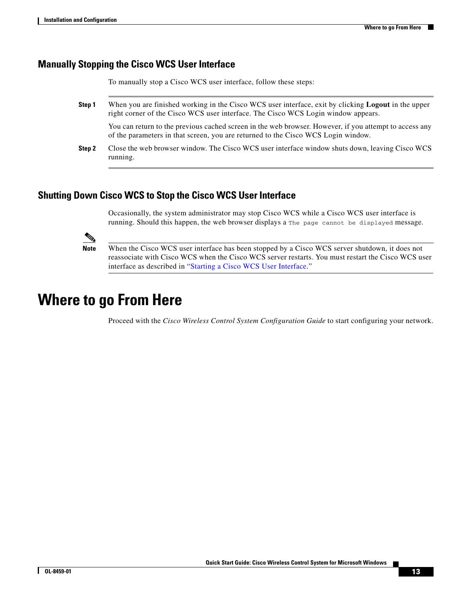#### **Manually Stopping the Cisco WCS User Interface**

To manually stop a Cisco WCS user interface, follow these steps:

**Step 1** When you are finished working in the Cisco WCS user interface, exit by clicking **Logout** in the upper right corner of the Cisco WCS user interface. The Cisco WCS Login window appears.

You can return to the previous cached screen in the web browser. However, if you attempt to access any of the parameters in that screen, you are returned to the Cisco WCS Login window.

**Step 2** Close the web browser window. The Cisco WCS user interface window shuts down, leaving Cisco WCS running.

### **Shutting Down Cisco WCS to Stop the Cisco WCS User Interface**

Occasionally, the system administrator may stop Cisco WCS while a Cisco WCS user interface is running. Should this happen, the web browser displays a The page cannot be displayed message.

**Note** When the Cisco WCS user interface has been stopped by a Cisco WCS server shutdown, it does not reassociate with Cisco WCS when the Cisco WCS server restarts. You must restart the Cisco WCS user interface as described in "[Starting a Cisco WCS User Interface](#page-20-4)."

# <span id="page-22-0"></span>**Where to go From Here**

Proceed with the *Cisco Wireless Control System Configuration Guide* to start configuring your network.